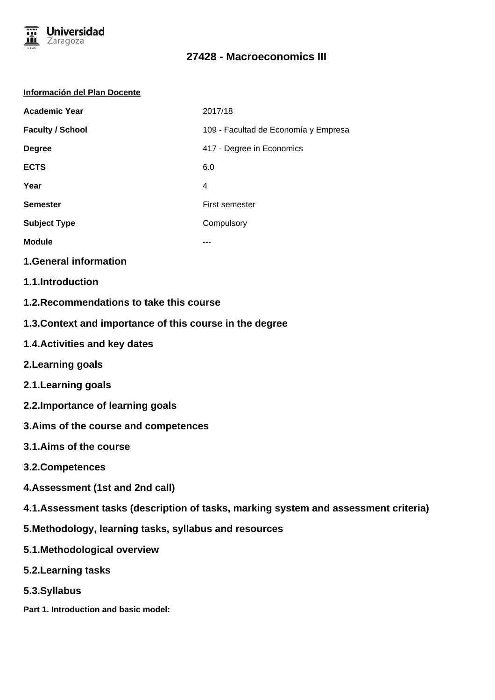

#### **Información del Plan Docente**

| <b>Academic Year</b>    | 2017/18                              |
|-------------------------|--------------------------------------|
| <b>Faculty / School</b> | 109 - Facultad de Economía y Empresa |
| <b>Degree</b>           | 417 - Degree in Economics            |
| <b>ECTS</b>             | 6.0                                  |
| Year                    | 4                                    |
| <b>Semester</b>         | First semester                       |
| <b>Subject Type</b>     | Compulsory                           |
| <b>Module</b>           | ---                                  |
|                         |                                      |

- **1.General information**
- **1.1.Introduction**
- **1.2.Recommendations to take this course**
- **1.3.Context and importance of this course in the degree**
- **1.4.Activities and key dates**
- **2.Learning goals**
- **2.1.Learning goals**
- **2.2.Importance of learning goals**
- **3.Aims of the course and competences**
- **3.1.Aims of the course**
- **3.2.Competences**
- **4.Assessment (1st and 2nd call)**
- **4.1.Assessment tasks (description of tasks, marking system and assessment criteria)**
- **5.Methodology, learning tasks, syllabus and resources**
- **5.1.Methodological overview**
- **5.2.Learning tasks**
- **5.3.Syllabus**
- **Part 1. Introduction and basic model:**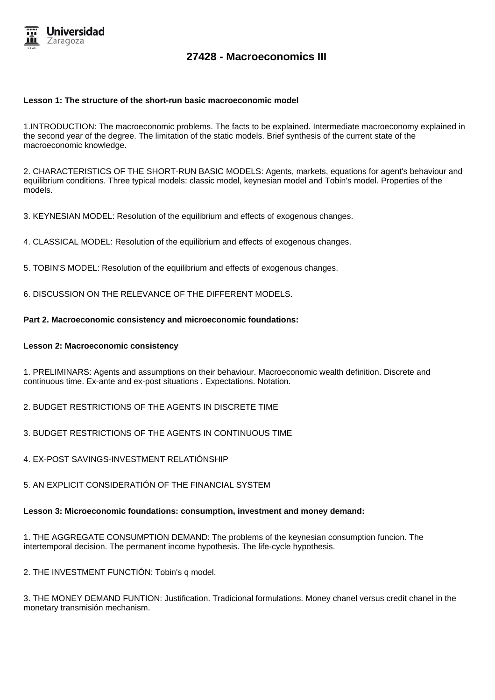

#### **Lesson 1: The structure of the short-run basic macroeconomic model**

1.INTRODUCTION: The macroeconomic problems. The facts to be explained. Intermediate macroeconomy explained in the second year of the degree. The limitation of the static models. Brief synthesis of the current state of the macroeconomic knowledge.

2. CHARACTERISTICS OF THE SHORT-RUN BASIC MODELS: Agents, markets, equations for agent's behaviour and equilibrium conditions. Three typical models: classic model, keynesian model and Tobin's model. Properties of the models.

3. KEYNESIAN MODEL: Resolution of the equilibrium and effects of exogenous changes.

4. CLASSICAL MODEL: Resolution of the equilibrium and effects of exogenous changes.

- 5. TOBIN'S MODEL: Resolution of the equilibrium and effects of exogenous changes.
- 6. DISCUSSION ON THE RELEVANCE OF THE DIFFERENT MODELS.

#### **Part 2. Macroeconomic consistency and microeconomic foundations:**

#### **Lesson 2: Macroeconomic consistency**

1. PRELIMINARS: Agents and assumptions on their behaviour. Macroeconomic wealth definition. Discrete and continuous time. Ex-ante and ex-post situations . Expectations. Notation.

- 2. BUDGET RESTRICTIONS OF THE AGENTS IN DISCRETE TIME
- 3. BUDGET RESTRICTIONS OF THE AGENTS IN CONTINUOUS TIME
- 4. EX-POST SAVINGS-INVESTMENT RELATIÓNSHIP
- 5. AN EXPLICIT CONSIDERATIÓN OF THE FINANCIAL SYSTEM

#### **Lesson 3: Microeconomic foundations: consumption, investment and money demand:**

1. THE AGGREGATE CONSUMPTION DEMAND: The problems of the keynesian consumption funcion. The intertemporal decision. The permanent income hypothesis. The life-cycle hypothesis.

2. THE INVESTMENT FUNCTIÓN: Tobin's q model.

3. THE MONEY DEMAND FUNTION: Justification. Tradicional formulations. Money chanel versus credit chanel in the monetary transmisión mechanism.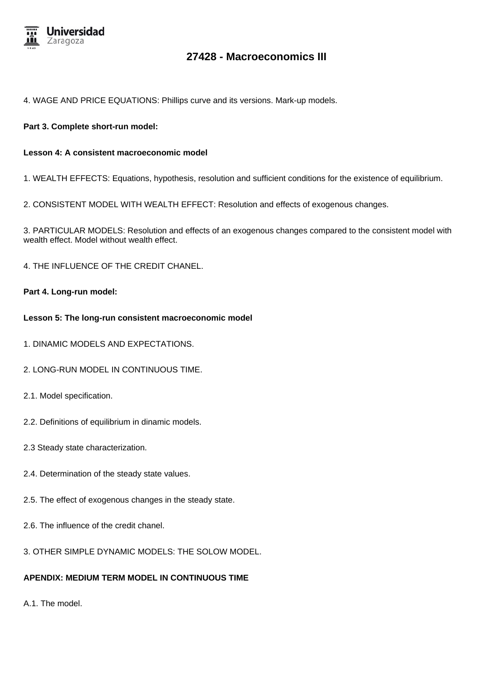

#### 4. WAGE AND PRICE EQUATIONS: Phillips curve and its versions. Mark-up models.

#### **Part 3. Complete short-run model:**

#### **Lesson 4: A consistent macroeconomic model**

1. WEALTH EFFECTS: Equations, hypothesis, resolution and sufficient conditions for the existence of equilibrium.

2. CONSISTENT MODEL WITH WEALTH EFFECT: Resolution and effects of exogenous changes.

3. PARTICULAR MODELS: Resolution and effects of an exogenous changes compared to the consistent model with wealth effect. Model without wealth effect.

4. THE INFLUENCE OF THE CREDIT CHANEL.

#### **Part 4. Long-run model:**

#### **Lesson 5: The long-run consistent macroeconomic model**

- 1. DINAMIC MODELS AND EXPECTATIONS.
- 2. LONG-RUN MODEL IN CONTINUOUS TIME.
- 2.1. Model specification.
- 2.2. Definitions of equilibrium in dinamic models.
- 2.3 Steady state characterization.
- 2.4. Determination of the steady state values.
- 2.5. The effect of exogenous changes in the steady state.
- 2.6. The influence of the credit chanel.
- 3. OTHER SIMPLE DYNAMIC MODELS: THE SOLOW MODEL.

### **APENDIX: MEDIUM TERM MODEL IN CONTINUOUS TIME**

A.1. The model.